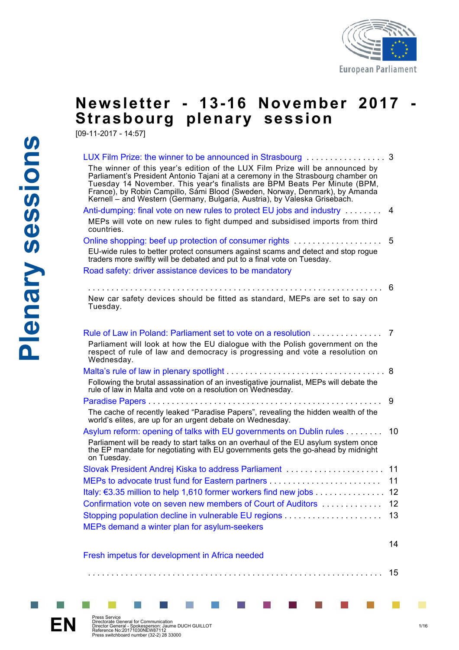

## **Newsletter - 13-16 November 2017 Strasbourg plenary session**

[09-11-2017 - 14:57]

| The winner of this year's edition of the LUX Film Prize will be announced by<br>Parliament's President Antonio Tajani at a ceremony in the Strasbourg chamber on<br>Tuesday 14 November. This year's finalists are BPM Beats Per Minute (BPM,<br>France), by Robin Campillo, Sámi Blood (Sweden, Norway, Denmark), by Amanda<br>Kernell – and Western (Germany, Bulgaria, Austria), by Valeska Grisebach. |    |
|-----------------------------------------------------------------------------------------------------------------------------------------------------------------------------------------------------------------------------------------------------------------------------------------------------------------------------------------------------------------------------------------------------------|----|
| Anti-dumping: final vote on new rules to protect EU jobs and industry                                                                                                                                                                                                                                                                                                                                     | 4  |
| MEPs will vote on new rules to fight dumped and subsidised imports from third<br>countries.                                                                                                                                                                                                                                                                                                               |    |
| Online shopping: beef up protection of consumer rights                                                                                                                                                                                                                                                                                                                                                    | 5  |
| EU-wide rules to better protect consumers against scams and detect and stop rogue<br>traders more swiftly will be debated and put to a final vote on Tuesday.                                                                                                                                                                                                                                             |    |
| Road safety: driver assistance devices to be mandatory                                                                                                                                                                                                                                                                                                                                                    |    |
|                                                                                                                                                                                                                                                                                                                                                                                                           | 6  |
| New car safety devices should be fitted as standard, MEPs are set to say on                                                                                                                                                                                                                                                                                                                               |    |
| Tuesday.                                                                                                                                                                                                                                                                                                                                                                                                  |    |
|                                                                                                                                                                                                                                                                                                                                                                                                           |    |
| Rule of Law in Poland: Parliament set to vote on a resolution 7                                                                                                                                                                                                                                                                                                                                           |    |
| Parliament will look at how the EU dialogue with the Polish government on the                                                                                                                                                                                                                                                                                                                             |    |
| respect of rule of law and democracy is progressing and vote a resolution on<br>Wednesday.                                                                                                                                                                                                                                                                                                                |    |
|                                                                                                                                                                                                                                                                                                                                                                                                           |    |
| Following the brutal assassination of an investigative journalist, MEPs will debate the<br>rule of law in Malta and vote on a resolution on Wednesday.                                                                                                                                                                                                                                                    |    |
|                                                                                                                                                                                                                                                                                                                                                                                                           | 9  |
| The cache of recently leaked "Paradise Papers", revealing the hidden wealth of the<br>world's elites, are up for an urgent debate on Wednesday.                                                                                                                                                                                                                                                           |    |
| Asylum reform: opening of talks with EU governments on Dublin rules                                                                                                                                                                                                                                                                                                                                       | 10 |
| Parliament will be ready to start talks on an overhaul of the EU asylum system once<br>the EP mandate for negotiating with EU governments gets the go-anead by midnight<br>on Tuesday.                                                                                                                                                                                                                    |    |
|                                                                                                                                                                                                                                                                                                                                                                                                           |    |
|                                                                                                                                                                                                                                                                                                                                                                                                           |    |
| Italy: €3.35 million to help 1,610 former workers find new jobs 12                                                                                                                                                                                                                                                                                                                                        |    |
| Confirmation vote on seven new members of Court of Auditors                                                                                                                                                                                                                                                                                                                                               | 12 |
|                                                                                                                                                                                                                                                                                                                                                                                                           | 13 |
| MEPs demand a winter plan for asylum-seekers                                                                                                                                                                                                                                                                                                                                                              |    |
|                                                                                                                                                                                                                                                                                                                                                                                                           |    |
|                                                                                                                                                                                                                                                                                                                                                                                                           | 14 |
| Fresh impetus for development in Africa needed                                                                                                                                                                                                                                                                                                                                                            |    |

. . . . . . . . . . . . . . . . . . . . . . . . . . . . . . . . . . . . . . . . . . . . . . . . . . . . . . . . . . . . . . . 15





 $\mathcal{C}^{\mathcal{A}}$ 

**Exerbice Service**<br>Directorate General for Communication<br>Director General - Spokesperson: Jaume DUCH GUILLOT<br>Reference No:20171030NEW87112<br>Press switchboard number (32-2) 28 33000

п

×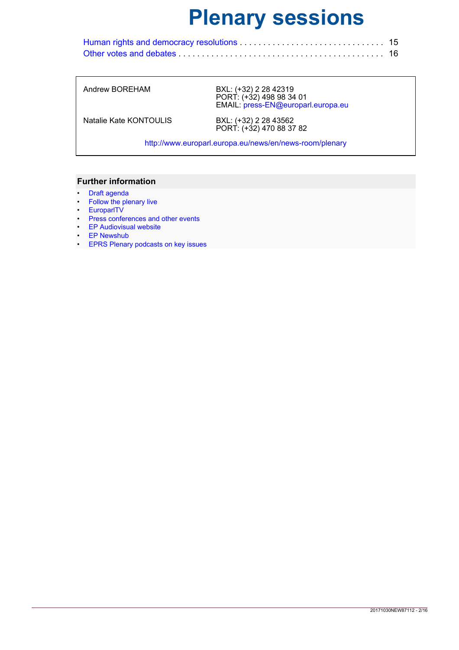Andrew BOREHAM BXL: [\(+32\) 2 28 42319](mailto:(+32) 2 28 42319) PORT: [\(+32\) 498 98 34 01](mailto:(+32) 498 98 34 01) EMAIL: [press-EN@europarl.europa.eu](mailto:press-EN@europarl.europa.eu)

Natalie Kate KONTOULIS

BXL: (+32) 2 28 43562<br>PORT: [\(+32\) 470 88 37 82](mailto:(+32) 470 88 37 82)

http://www.europarl.europa.eu/news/en/news-room/plenary

- [Draft agenda](http://www.europarl.europa.eu/plenary/en/agendas.html)
- [Follow the plenary live](http://www.europarl.europa.eu/ep-live/en/plenary)
- [EuroparlTV](http://europarltv.europa.eu/en/home.aspx)
- [Press conferences and other events](http://www.europarl.europa.eu/ep-live/en/schedule)
- [EP Audiovisual website](http://audiovisual.europarl.europa.eu/)
- [EP Newshub](http://www.epnewshub.eu/#/template=newslist&order=time&mp=0-0)
- [EPRS Plenary podcasts on key issues](http://www.europarl.europa.eu/rss/en/audio-podcasts.html)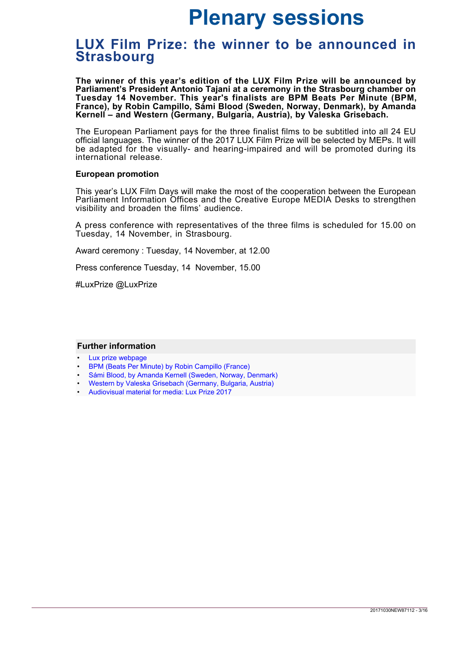### <span id="page-2-0"></span>**LUX Film Prize: the winner to be announced in Strasbourg**

**The winner of this year's edition of the LUX Film Prize will be announced by Parliament's President Antonio Tajani at a ceremony in the Strasbourg chamber on Tuesday 14 November. This year's finalists are BPM Beats Per Minute (BPM, France), by Robin Campillo, Sámi Blood (Sweden, Norway, Denmark), by Amanda Kernell – and Western (Germany, Bulgaria, Austria), by Valeska Grisebach.** 

The European Parliament pays for the three finalist films to be subtitled into all 24 EU official languages. The winner of the 2017 LUX Film Prize will be selected by MEPs. It will be adapted for the visually- and hearing-impaired and will be promoted during its international release.

#### **European promotion**

This year's LUX Film Days will make the most of the cooperation between the European Parliament Information Offices and the Creative Europe MEDIA Desks to strengthen visibility and broaden the films' audience.

A press conference with representatives of the three films is scheduled for 15.00 on Tuesday, 14 November, in Strasbourg.

Award ceremony : Tuesday, 14 November, at 12.00

Press conference Tuesday, 14 November, 15.00

#LuxPrize @LuxPrize

- [Lux prize webpage](http://luxprize.eu/home)
- [BPM \(Beats Per Minute\) by Robin Campillo \(France\)](http://www.luxprize.eu/node/629)
- [Sámi Blood, by Amanda Kernell \(Sweden, Norway, Denmark\)](http://www.luxprize.eu/node/636)
- [Western by Valeska Grisebach \(Germany, Bulgaria, Austria\)](http://www.luxprize.eu/node/644)
- [Audiovisual material for media: Lux Prize 2017](http://audiovisual.europarl.europa.eu/lux-prize-2017)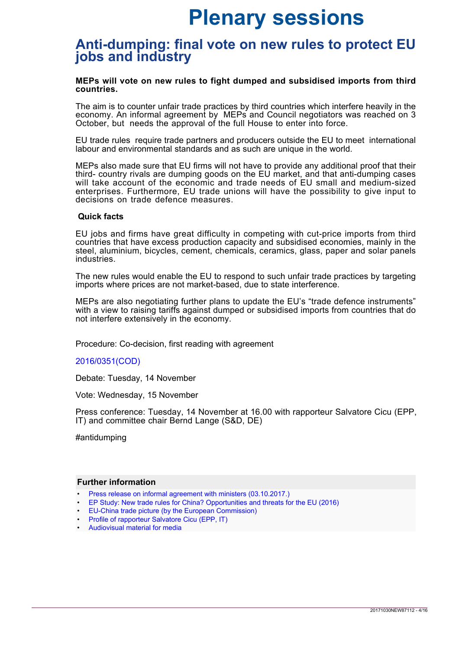### <span id="page-3-0"></span>**Anti-dumping: final vote on new rules to protect EU jobs and industry**

#### **MEPs will vote on new rules to fight dumped and subsidised imports from third countries.**

The aim is to counter unfair trade practices by third countries which interfere heavily in the economy. An informal agreement by MEPs and Council negotiators was reached on 3 October, but needs the approval of the full House to enter into force.

EU trade rules require trade partners and producers outside the EU to meet international labour and environmental standards and as such are unique in the world.

MEPs also made sure that EU firms will not have to provide any additional proof that their third- country rivals are dumping goods on the EU market, and that anti-dumping cases will take account of the economic and trade needs of EU small and medium-sized enterprises. Furthermore, EU trade unions will have the possibility to give input to decisions on trade defence measures.

#### **Quick facts**

EU jobs and firms have great difficulty in competing with cut-price imports from third countries that have excess production capacity and subsidised economies, mainly in the steel, aluminium, bicycles, cement, chemicals, ceramics, glass, paper and solar panels industries.

The new rules would enable the EU to respond to such unfair trade practices by targeting imports where prices are not market-based, due to state interference.

MEPs are also negotiating further plans to update the EU's "trade defence instruments" with a view to raising tariffs against dumped or subsidised imports from countries that do not interfere extensively in the economy.

Procedure: Co-decision, first reading with agreement

#### [2016/0351\(COD\)](http://www.europarl.europa.eu/oeil/popups/ficheprocedure.do?reference=2016/0351(COD)&l=en)

Debate: Tuesday, 14 November

Vote: Wednesday, 15 November

Press conference: Tuesday, 14 November at 16.00 with rapporteur Salvatore Cicu (EPP, IT) and committee chair Bernd Lange (S&D, DE)

#antidumping

- [Press release on informal agreement with ministers \(03.10.2017.\)](http://www.europarl.europa.eu/news/en/press-room/20171003IPR85229/eu-anti-dumping-measures-that-protect-jobs-meps-and-ministers-strike-deal)
- [EP Study: New trade rules for China? Opportunities and threats for the EU \(2016\)](http://www.europarl.europa.eu/RegData/etudes/STUD/2016/535021/EXPO_STU%282016%29535021_EN.pdf)
- [EU-China trade picture \(by the European Commission\)](http://ec.europa.eu/trade/policy/countries-and-regions/countries/china/)
- [Profile of rapporteur Salvatore Cicu \(EPP, IT\)](http://www.europarl.europa.eu/meps/en/124854/SALVATORE_CICU_home.html)
- [Audiovisual material for media](http://audiovisual.europarl.europa.eu/default.aspx)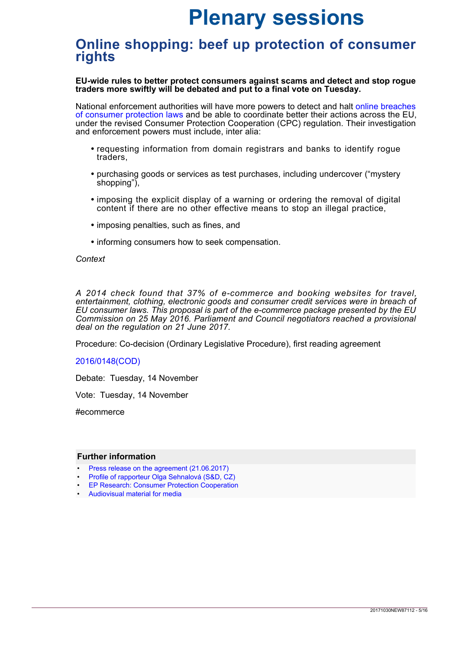### <span id="page-4-0"></span>**Online shopping: beef up protection of consumer rights**

**EU-wide rules to better protect consumers against scams and detect and stop rogue traders more swiftly will be debated and put to a final vote on Tuesday.** 

National enforcement authorities will have more powers to detect and halt [online breaches](http://ec.europa.eu/consumers/consumer_rights/unfair-trade/docs/cpc-factsheet_en.pdf) [of consumer protection laws](http://ec.europa.eu/consumers/consumer_rights/unfair-trade/docs/cpc-factsheet_en.pdf) and be able to coordinate better their actions across the EU, under the revised Consumer Protection Cooperation (CPC) regulation. Their investigation and enforcement powers must include, inter alia:

- requesting information from domain registrars and banks to identify rogue traders,
- purchasing goods or services as test purchases, including undercover ("mystery shopping"),
- imposing the explicit display of a warning or ordering the removal of digital content if there are no other effective means to stop an illegal practice,
- imposing penalties, such as fines, and
- informing consumers how to seek compensation.

#### *Context*

*A 2014 check found that 37% of e-commerce and booking websites for travel, entertainment, clothing, electronic goods and consumer credit services were in breach of EU consumer laws. This proposal is part of the e-commerce package presented by the EU Commission on 25 May 2016. Parliament and Council negotiators reached a provisional deal on the regulation on 21 June 2017.*

Procedure: Co-decision (Ordinary Legislative Procedure), first reading agreement

#### [2016/0148\(COD\)](http://www.europarl.europa.eu/oeil/popups/ficheprocedure.do?reference=2016/0148%28COD%29&l=en)

Debate: Tuesday, 14 November

Vote: Tuesday, 14 November

#ecommerce

- [Press release on the agreement \(21.06.2017\)](http://www.europarl.europa.eu/news/en/press-room/20170621IPR78025/ep-council-reach-deal-to-improve-the-enforcement-of-consumer-rights-in-the-eu)
- [Profile of rapporteur Olga Sehnalová \(S&D, CZ\)](http://www.europarl.europa.eu/meps/en/96718/OLGA_SEHNALOVA_home.html)
- [EP Research: Consumer Protection Cooperation](http://www.europarl.europa.eu/RegData/etudes/BRIE/2016/586676/EPRS_BRI(2016)586676_EN.pdf)
- [Audiovisual material for media](http://audiovisual.europarl.europa.eu/default.aspx)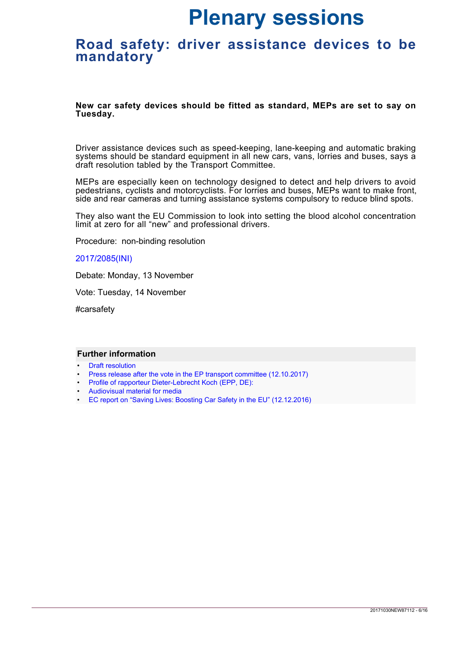### <span id="page-5-0"></span>**Road safety: driver assistance devices to be mandatory**

**New car safety devices should be fitted as standard, MEPs are set to say on Tuesday.**

Driver assistance devices such as speed-keeping, lane-keeping and automatic braking systems should be standard equipment in all new cars, vans, lorries and buses, says a draft resolution tabled by the Transport Committee.

MEPs are especially keen on technology designed to detect and help drivers to avoid pedestrians, cyclists and motorcyclists. For lorries and buses, MEPs want to make front, side and rear cameras and turning assistance systems compulsory to reduce blind spots.

They also want the EU Commission to look into setting the blood alcohol concentration limit at zero for all "new" and professional drivers.

Procedure: non-binding resolution

#### [2017/2085\(INI\)](http://www.europarl.europa.eu/oeil/popups/ficheprocedure.do?reference=2017/2085%28INI%29&l=en)

Debate: Monday, 13 November

Vote: Tuesday, 14 November

#carsafety

- [Draft resolution](http://www.europarl.europa.eu/sides/getDoc.do?type=REPORT&reference=A8-2017-0330&language=EN)
- [Press release after the vote in the EP transport committee \(12.10.2017\)](http://www.europarl.europa.eu/news/en/press-room/20171009IPR85645/mandatory-driver-assistance-systems-needed-to-protect-cyclists-and-pedestrians)
- [Profile of rapporteur Dieter-Lebrecht Koch \(EPP, DE\):](http://www.europarl.europa.eu/meps/en/1852/DIETER-LEBRECHT_KOCH_home.html)
- [Audiovisual material for media](http://audiovisual.europarl.europa.eu/default.aspx)
- [EC report on "Saving Lives: Boosting Car Safety in the EU" \(12.12.2016\)](http://eur-lex.europa.eu/legal-content/EN/TXT/?uri=CELEX%3A52016DC0787)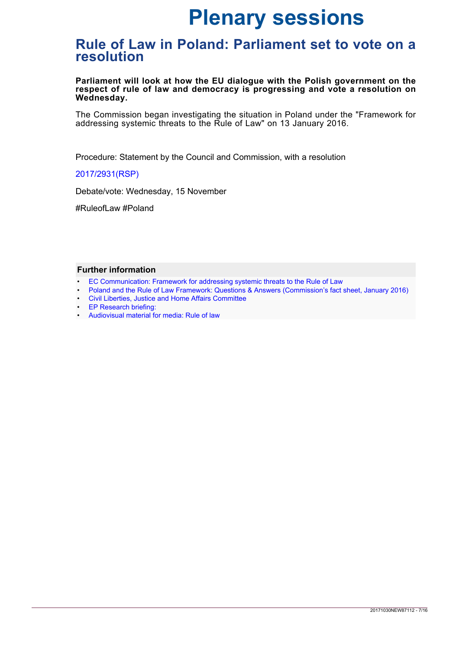### <span id="page-6-0"></span>**Rule of Law in Poland: Parliament set to vote on a resolution**

**Parliament will look at how the EU dialogue with the Polish government on the respect of rule of law and democracy is progressing and vote a resolution on Wednesday.** 

The Commission began investigating the situation in Poland under the "Framework for addressing systemic threats to the Rule of Law" on 13 January 2016.

Procedure: Statement by the Council and Commission, with a resolution

#### [2017/2931\(RSP\)](http://www.europarl.europa.eu/oeil/popups/ficheprocedure.do?lang=en&reference=2017/2931%28RSP%29)

Debate/vote: Wednesday, 15 November

#RuleofLaw #Poland

- [EC Communication: Framework for addressing systemic threats to the Rule of Law](http://eur-lex.europa.eu/legal-content/EN/TXT/?uri=CELEX:52014DC0158)
- [Poland and the Rule of Law Framework: Questions & Answers \(Commission's fact sheet, January 2016\)](http://europa.eu/rapid/press-release_MEMO-16-62_en.htm)
- [Civil Liberties, Justice and Home Affairs Committee](http://www.europarl.europa.eu/committees/pl/libe/home.html)
- **[EP Research briefing:](http://www.europarl.europa.eu/EPRS/EPRS-Briefing-573922-Understanding-EU-rule-of-law-mechanisms-FINAL.pdf)**
- [Audiovisual material for media: Rule of law](http://audiovisual.europarl.europa.eu/rule-law-poland)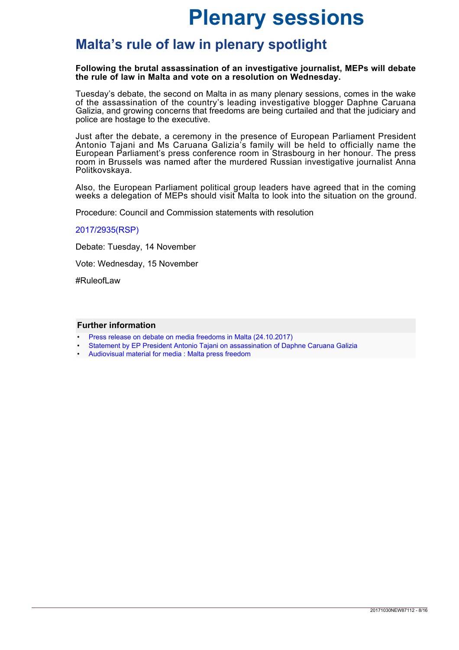### <span id="page-7-0"></span>**Malta's rule of law in plenary spotlight**

#### **Following the brutal assassination of an investigative journalist, MEPs will debate the rule of law in Malta and vote on a resolution on Wednesday.**

Tuesday's debate, the second on Malta in as many plenary sessions, comes in the wake of the assassination of the country's leading investigative blogger Daphne Caruana Galizia, and growing concerns that freedoms are being curtailed and that the judiciary and police are hostage to the executive.

Just after the debate, a ceremony in the presence of European Parliament President Antonio Tajani and Ms Caruana Galizia's family will be held to officially name the European Parliament's press conference room in Strasbourg in her honour. The press room in Brussels was named after the murdered Russian investigative journalist Anna Politkovskaya.

Also, the European Parliament political group leaders have agreed that in the coming weeks a delegation of MEPs should visit Malta to look into the situation on the ground.

Procedure: Council and Commission statements with resolution

[2017/2935\(RSP\)](http://www.europarl.europa.eu/oeil/popups/ficheprocedure.do?lang=en&reference=2017/2935%28RSP%29)

Debate: Tuesday, 14 November

Vote: Wednesday, 15 November

#RuleofLaw

- [Press release on debate on media freedoms in Malta \(24.10.2017\)](http://www.europarl.europa.eu/news/en/press-room/20171020IPR86555/meps-praise-daphne-caruana-galizia-and-call-for-concrete-actions)
- [Statement by EP President Antonio Tajani on assassination of Daphne Caruana Galizia](http://www.europarl.europa.eu/the-president/en/newsroom/statement-by-president-tajani-in-plenary-in-the-presence-of-the-family-of-daphne-caruana-galizia-30)
- [Audiovisual material for media : Malta press freedom](http://audiovisual.europarl.europa.eu/malta-press-freedom)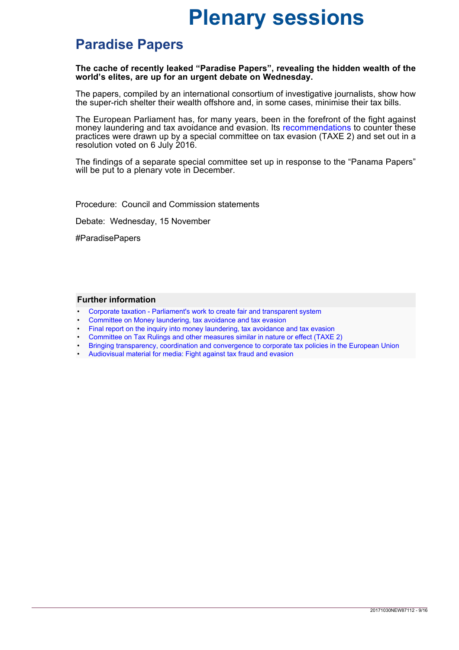## <span id="page-8-0"></span>**Paradise Papers**

#### **The cache of recently leaked "Paradise Papers", revealing the hidden wealth of the world's elites, are up for an urgent debate on Wednesday.**

The papers, compiled by an international consortium of investigative journalists, show how the super-rich shelter their wealth offshore and, in some cases, minimise their tax bills.

The European Parliament has, for many years, been in the forefront of the fight against money laundering and tax avoidance and evasion. Its [recommendations](http://www.europarl.europa.eu/sides/getDoc.do?pubRef=-//EP//TEXT+TA+P8-TA-2016-0310+0+DOC+XML+V0//EN&language=EN) to counter these practices were drawn up by a special committee on tax evasion (TAXE 2) and set out in a resolution voted on 6 July 2016.

The findings of a separate special committee set up in response to the "Panama Papers" will be put to a plenary vote in December.

Procedure: Council and Commission statements

Debate: Wednesday, 15 November

#ParadisePapers

- [Corporate taxation Parliament's work to create fair and transparent system](http://www.europarl.europa.eu/news/en/headlines/priorities/20150318TST35503)
- [Committee on Money laundering, tax avoidance and tax evasion](http://www.europarl.europa.eu/committees/en/pana/home.html)
- [Final report on the inquiry into money laundering, tax avoidance and tax evasion](http://www.europarl.europa.eu/cmsdata/131460/2017-11-08%20PANA%20Final%20Report.pdf)
- [Committee on Tax Rulings and other measures similar in nature or effect \(TAXE 2\)](http://www.europarl.europa.eu/committees/en/tax2/home.html)
- [Bringing transparency, coordination and convergence to corporate tax policies in the European Union](http://www.europarl.europa.eu/RegData/etudes/STUD/2015/558773/EPRS_STU%282015%29558773_EN.pdf)
- [Audiovisual material for media: Fight against tax fraud and evasion](http://audiovisual.europarl.europa.eu/fight-against-tax-fraud-and-evasion)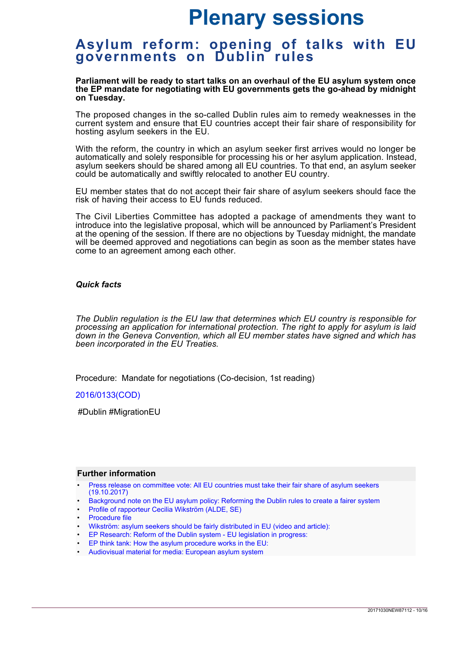### <span id="page-9-0"></span>**Asylum reform: opening of talks with EU governments on Dublin rules**

#### **Parliament will be ready to start talks on an overhaul of the EU asylum system once the EP mandate for negotiating with EU governments gets the go-ahead by midnight on Tuesday.**

The proposed changes in the so-called Dublin rules aim to remedy weaknesses in the current system and ensure that EU countries accept their fair share of responsibility for hosting asylum seekers in the EU.

With the reform, the country in which an asylum seeker first arrives would no longer be automatically and solely responsible for processing his or her asylum application. Instead, asylum seekers should be shared among all EU countries. To that end, an asylum seeker could be automatically and swiftly relocated to another EU country.

EU member states that do not accept their fair share of asylum seekers should face the risk of having their access to EU funds reduced.

The Civil Liberties Committee has adopted a package of amendments they want to introduce into the legislative proposal, which will be announced by Parliament's President at the opening of the session. If there are no objections by Tuesday midnight, the mandate will be deemed approved and negotiations can begin as soon as the member states have come to an agreement among each other.

#### *Quick facts*

*The Dublin regulation is the EU law that determines which EU country is responsible for processing an application for international protection. The right to apply for asylum is laid down in the Geneva Convention, which all EU member states have signed and which has been incorporated in the EU Treaties.*

Procedure: Mandate for negotiations (Co-decision, 1st reading)

[2016/0133\(COD\)](http://www.europarl.europa.eu/oeil/popups/ficheprocedure.do?reference=2016/0133%28COD%29&l=en)

#Dublin #MigrationEU

- [Press release on committee vote: All EU countries must take their fair share of asylum seekers](http://www.europarl.europa.eu/news/en/press-room/20171016IPR86161/all-eu-countries-must-take-their-fair-share-of-asylum-seekers) [\(19.10.2017\)](http://www.europarl.europa.eu/news/en/press-room/20171016IPR86161/all-eu-countries-must-take-their-fair-share-of-asylum-seekers)
- [Background note on the EU asylum policy: Reforming the Dublin rules to create a fairer system](http://www.europarl.europa.eu/pdfs/news/expert/background/20171019BKG86403/20171019BKG86403_en.pdf)
- [Profile of rapporteur Cecilia Wikström \(ALDE, SE\)](http://www.europarl.europa.eu/meps/en/96677/CECILIA_WIKSTROM_home.html)
- [Procedure file](http://www.europarl.europa.eu/oeil/popups/ficheprocedure.do?reference=2016/0133(COD)&l=en)
- [Wikström: asylum seekers should be fairly distributed in EU \(video and article\):](http://www.europarl.europa.eu/news/en/headlines/society/20171012STO85934/wikstrom-asylum-seekers-should-be-fairly-distributed-in-eu)
- [EP Research: Reform of the Dublin system EU legislation in progress:](https://epthinktank.eu/2017/02/09/reform-of-the-dublin-system-eu-legislation-in-progress/)
- [EP think tank: How the asylum procedure works in the EU:](http://www.europarl.europa.eu/thinktank/en/document.html?reference=EPRS_ATA(2017)599397)
- [Audiovisual material for media: European asylum system](http://audiovisual.europarl.europa.eu/european-asylum-system)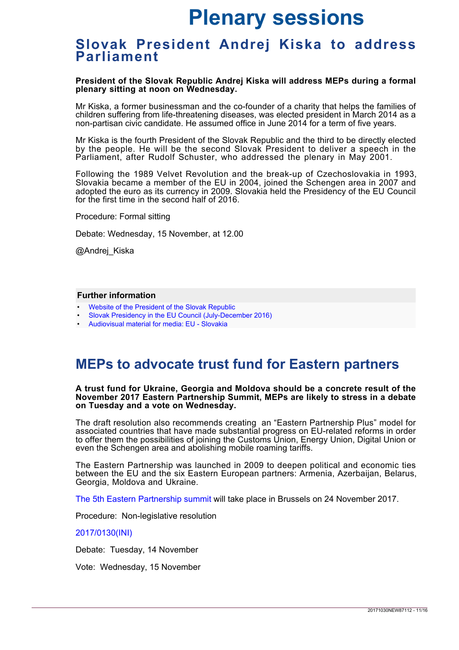### <span id="page-10-0"></span>**Slovak President Andrej Kiska to address Parliament**

**President of the Slovak Republic Andrej Kiska will address MEPs during a formal plenary sitting at noon on Wednesday.**

Mr Kiska, a former businessman and the co-founder of a charity that helps the families of children suffering from life-threatening diseases, was elected president in March 2014 as a non-partisan civic candidate. He assumed office in June 2014 for a term of five years.

Mr Kiska is the fourth President of the Slovak Republic and the third to be directly elected by the people. He will be the second Slovak President to deliver a speech in the Parliament, after Rudolf Schuster, who addressed the plenary in May 2001.

Following the 1989 Velvet Revolution and the break-up of Czechoslovakia in 1993, Slovakia became a member of the EU in 2004, joined the Schengen area in 2007 and adopted the euro as its currency in 2009. Slovakia held the Presidency of the EU Council for the first time in the second half of 2016.

Procedure: Formal sitting

Debate: Wednesday, 15 November, at 12.00

@Andrej\_Kiska

#### **Further information**

- [Website of the President of the Slovak Republic](https://www.prezident.sk/en/)
- [Slovak Presidency in the EU Council \(July-December 2016\)](http://www.eu2016.sk/en)
- [Audiovisual material for media: EU Slovakia](http://audiovisual.europarl.europa.eu/eu-slovakia)

### <span id="page-10-1"></span>**MEPs to advocate trust fund for Eastern partners**

#### **A trust fund for Ukraine, Georgia and Moldova should be a concrete result of the November 2017 Eastern Partnership Summit, MEPs are likely to stress in a debate on Tuesday and a vote on Wednesday.**

The draft resolution also recommends creating an "Eastern Partnership Plus" model for associated countries that have made substantial progress on EU-related reforms in order to offer them the possibilities of joining the Customs Union, Energy Union, Digital Union or even the Schengen area and abolishing mobile roaming tariffs.

The Eastern Partnership was launched in 2009 to deepen political and economic ties between the EU and the six Eastern European partners: Armenia, Azerbaijan, Belarus, Georgia, Moldova and Ukraine.

[The 5th Eastern Partnership summit](http://www.consilium.europa.eu/en/meetings/international-summit/2017/11/24/) will take place in Brussels on 24 November 2017.

Procedure: Non-legislative resolution

#### [2017/0130\(INI\)](http://www.europarl.europa.eu/oeil/popups/ficheprocedure.do?lang=en&reference=2017/2130%28INI%29)

Debate: Tuesday, 14 November

Vote: Wednesday, 15 November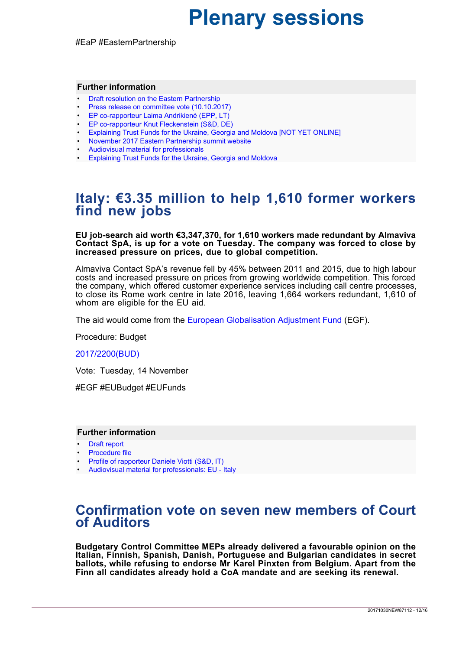#EaP #EasternPartnership

#### **Further information**

- [Draft resolution on the Eastern Partnership](http://www.europarl.europa.eu/sides/getDoc.do?pubRef=-%2f%2fEP%2f%2fTEXT%2bREPORT%2bA8-2017-0308%2b0%2bDOC%2bXML%2bV0%2f%2fEN&language=EN)
- [Press release on committee vote \(10.10.2017\)](http://www.europarl.europa.eu/news/en/press-room/20171009IPR85668/foreign-affairs-committee-meps-advocate-trust-fund-for-eastern-partners)
- [EP co-rapporteur Laima Andrikienė \(EPP, LT\)](http://www.europarl.europa.eu/meps/en/28276/LAIMA+LIUCIJA_ANDRIKIENE_home.html)
- [EP co-rapporteur Knut Fleckenstein \(S&D, DE\)](http://www.europarl.europa.eu/meps/en/96840/KNUT_FLECKENSTEIN_home.html)
- [Explaining Trust Funds for the Ukraine, Georgia and Moldova \[NOT YET ONLINE\]](http://www.europarl.europa.eu/news/en/headlines/eu-affairs/20171030STO87111)
- [November 2017 Eastern Partnership summit website](http://www.consilium.europa.eu/en/meetings/international-summit/2017/11/24/)
- [Audiovisual material for professionals](http://audiovisual.europarl.europa.eu/default.aspx)
- [Explaining Trust Funds for the Ukraine, Georgia and Moldova](http://www.europarl.europa.eu/news/en/headlines/world/20171030STO87111/meps-want-deeper-eu-ties-with-ukraine-georgia-and-moldova)

### <span id="page-11-0"></span>**Italy: €3.35 million to help 1,610 former workers find new jobs**

**EU job-search aid worth €3,347,370, for 1,610 workers made redundant by Almaviva Contact SpA, is up for a vote on Tuesday. The company was forced to close by increased pressure on prices, due to global competition.** 

Almaviva Contact SpA's revenue fell by 45% between 2011 and 2015, due to high labour costs and increased pressure on prices from growing worldwide competition. This forced the company, which offered customer experience services including call centre processes, to close its Rome work centre in late 2016, leaving 1,664 workers redundant, 1,610 of whom are eligible for the EU aid.

The aid would come from the [European Globalisation Adjustment Fund](http://ec.europa.eu/social/main.jsp?catId=326) (EGF).

Procedure: Budget

#### [2017/2200\(BUD\)](http://www.europarl.europa.eu/oeil/popups/ficheprocedure.do?lang=&reference=2017/2200%28BUD%29#tab-0)

Vote: Tuesday, 14 November

#EGF #EUBudget #EUFunds

#### **Further information**

- [Draft report](http://www.europarl.europa.eu/sides/getDoc.do?type=COMPARL&mode=XML&language=EN&reference=PE610.898)
- [Procedure file](http://www.europarl.europa.eu/oeil/popups/ficheprocedure.do?lang=&reference=2017/2200(BUD)#tab-0)
- [Profile of rapporteur Daniele Viotti \(S&D, IT\)](http://www.europarl.europa.eu/meps/en/124791/DANIELE_VIOTTI_home.html)
- [Audiovisual material for professionals: EU Italy](http://audiovisual.europarl.europa.eu/eu-italy)

### <span id="page-11-1"></span>**Confirmation vote on seven new members of Court of Auditors**

**Budgetary Control Committee MEPs already delivered a favourable opinion on the Italian, Finnish, Spanish, Danish, Portuguese and Bulgarian candidates in secret ballots, while refusing to endorse Mr Karel Pinxten from Belgium. Apart from the Finn all candidates already hold a CoA mandate and are seeking its renewal.**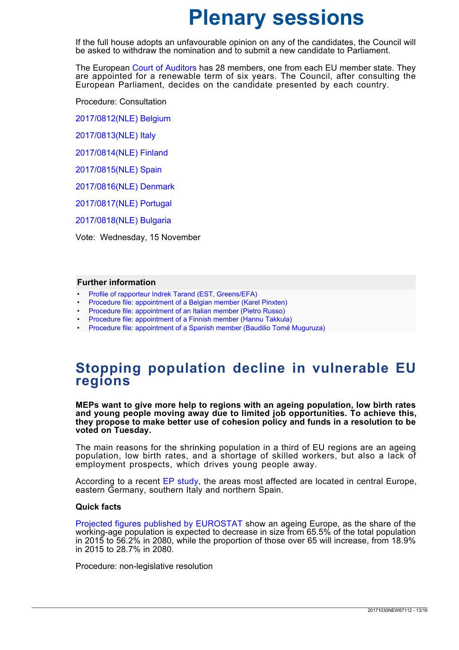If the full house adopts an unfavourable opinion on any of the candidates, the Council will be asked to withdraw the nomination and to submit a new candidate to Parliament.

The European [Court of Auditors](https://www.eca.europa.eu/en/Pages/ecadefault.aspx) has 28 members, one from each EU member state. They are appointed for a renewable term of six years. The Council, after consulting the European Parliament, decides on the candidate presented by each country.

Procedure: Consultation

[2017/0812\(NLE\) Belgium](http://www.europarl.europa.eu/oeil/popups/ficheprocedure.do?lang=en&reference=2017/0812%28NLE%29)

[2017/0813\(NLE\) Italy](http://www.europarl.europa.eu/oeil/popups/ficheprocedure.do?lang=en&reference=2017/0813%28NLE%29)

[2017/0814\(NLE\) Finland](http://www.europarl.europa.eu/oeil/popups/ficheprocedure.do?lang=en&reference=2017/0814%28NLE%29)

[2017/0815\(NLE\) Spain](http://www.europarl.europa.eu/oeil/popups/ficheprocedure.do?lang=en&reference=2017/0815%28NLE%29)

[2017/0816\(NLE\) Denmark](http://www.europarl.europa.eu/oeil/popups/ficheprocedure.do?reference=2017/0816(NLE)&l=en)

[2017/0817\(NLE\) Portugal](http://www.europarl.europa.eu/oeil/popups/ficheprocedure.do?reference=2017/0817(NLE)&l=en)

[2017/0818\(NLE\) Bulgaria](http://www.europarl.europa.eu/oeil/popups/ficheprocedure.do?reference=2017/0818(NLE)&l=en)

Vote: Wednesday, 15 November

#### **Further information**

- [Profile of rapporteur Indrek Tarand \(EST, Greens/EFA\)](http://www.europarl.europa.eu/meps/en/97136/INDREK_TARAND_home.html)
- [Procedure file: appointment of a Belgian member \(Karel Pinxten\)](http://www.europarl.europa.eu/oeil/popups/ficheprocedure.do?lang=en&reference=2017/0812%28NLE%29)
- [Procedure file: appointment of an Italian member \(Pietro Russo\)](http://www.europarl.europa.eu/oeil/popups/ficheprocedure.do?lang=en&reference=2017/0813%28NLE%29)
- [Procedure file: appointment of a Finnish member \(Hannu Takkula\)](http://www.europarl.europa.eu/oeil/popups/ficheprocedure.do?lang=en&reference=2017/0814%28NLE%29)
- [Procedure file: appointment of a Spanish member \(Baudilio Tomé Muguruza\)](http://www.europarl.europa.eu/oeil/popups/ficheprocedure.do?lang=en&reference=2017/0815%28NLE%29)

### <span id="page-12-0"></span>**Stopping population decline in vulnerable EU regions**

**MEPs want to give more help to regions with an ageing population, low birth rates and young people moving away due to limited job opportunities. To achieve this, they propose to make better use of cohesion policy and funds in a resolution to be voted on Tuesday.**

The main reasons for the shrinking population in a third of EU regions are an ageing population, low birth rates, and a shortage of skilled workers, but also a lack of employment prospects, which drives young people away.

According to a recent [EP study](http://www.europarl.europa.eu/RegData/etudes/etudes/join/2013/513981/IPOL-REGI_ET(2013)513981_EN.pdf), the areas most affected are located in central Europe, eastern Germany, southern Italy and northern Spain.

#### **Quick facts**

[Projected figures published by EUROSTAT](http://ec.europa.eu/eurostat/documents/3217494/7604195/KS-HA-16-001-EN-N.pdf) show an ageing Europe, as the share of the working-age population is expected to decrease in size from 65.5% of the total population in 2015 to 56.2% in 2080, while the proportion of those over 65 will increase, from 18.9% in 2015 to 28.7% in 2080.

Procedure: non-legislative resolution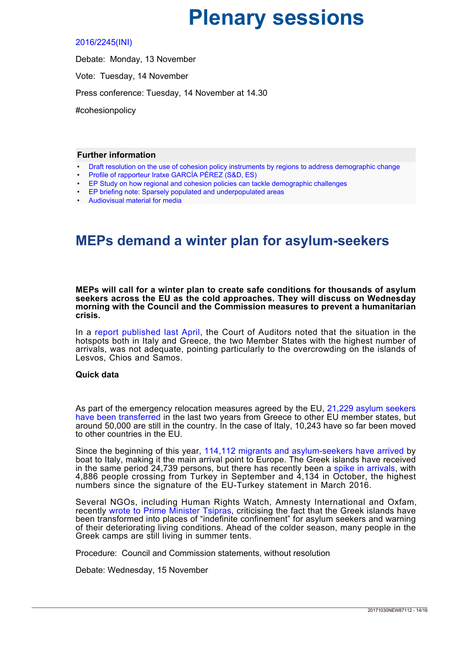#### [2016/2245\(INI\)](http://www.europarl.europa.eu/oeil/popups/ficheprocedure.do?reference=2016/2245%28INI%29&l=en)

Debate: Monday, 13 November Vote: Tuesday, 14 November Press conference: Tuesday, 14 November at 14.30 #cohesionpolicy

#### **Further information**

- [Draft resolution on the use of cohesion policy instruments by regions to address demographic change](http://www.europarl.europa.eu/sides/getDoc.do?type=REPORT&reference=A8-2017-0329&language=EN)
- [Profile of rapporteur Iratxe GARCÍA PÉREZ \(S&D, ES\)](http://www.europarl.europa.eu/meps/en/28298/IRATXE_GARCIA+PEREZ_home.html)
- [EP Study on how regional and cohesion policies can tackle demographic challenges](http://www.europarl.europa.eu/RegData/etudes/etudes/join/2013/513981/IPOL-REGI_ET(2013)513981_EN.pdf)
- [EP briefing note: Sparsely populated and underpopulated areas](http://www.europarl.europa.eu/RegData/etudes/BRIE/2016/586632/EPRS_BRI(2016)586632_EN.pdf)
- [Audiovisual material for media](http://audiovisual.europarl.europa.eu/default.aspx)

## <span id="page-13-0"></span>**MEPs demand a winter plan for asylum-seekers**

**MEPs will call for a winter plan to create safe conditions for thousands of asylum seekers across the EU as the cold approaches. They will discuss on Wednesday morning with the Council and the Commission measures to prevent a humanitarian crisis.**

In a [report published last April](https://www.eca.europa.eu/en/Pages/DocItem.aspx?did=41222), the Court of Auditors noted that the situation in the hotspots both in Italy and Greece, the two Member States with the highest number of arrivals, was not adequate, pointing particularly to the overcrowding on the islands of Lesvos, Chios and Samos.

#### **Quick data**

As part of the emergency relocation measures agreed by the EU, [21,229 asylum seekers](https://ec.europa.eu/home-affairs/sites/homeaffairs/files/what-we-do/policies/european-agenda-migration/press-material/docs/state_of_play_-_relocation_en.pdf) [have been transferred](https://ec.europa.eu/home-affairs/sites/homeaffairs/files/what-we-do/policies/european-agenda-migration/press-material/docs/state_of_play_-_relocation_en.pdf) in the last two years from Greece to other EU member states, but around 50,000 are still in the country. In the case of Italy, 10,243 have so far been moved to other countries in the EU.

Since the beginning of this year, [114,112 migrants and asylum-seekers have arrived](https://data2.unhcr.org/en/situations/mediterranean/location/5205) by boat to Italy, making it the main arrival point to Europe. The Greek islands have received in the same period 24,739 persons, but there has recently been a [spike in arrivals](https://data2.unhcr.org/en/situations/mediterranean/location/5179), with 4,886 people crossing from Turkey in September and 4,134 in October, the highest numbers since the signature of the EU-Turkey statement in March 2016.

Several NGOs, including Human Rights Watch, Amnesty International and Oxfam, recently [wrote to Prime Minister Tsipras,](https://www.hrw.org/news/2017/10/23/joint-letter-prime-minister-tsipras-re-deteriorating-conditions-asylum-seekers) criticising the fact that the Greek islands have been transformed into places of "indefinite confinement" for asylum seekers and warning of their deteriorating living conditions. Ahead of the colder season, many people in the Greek camps are still living in summer tents.

Procedure: Council and Commission statements, without resolution

Debate: Wednesday, 15 November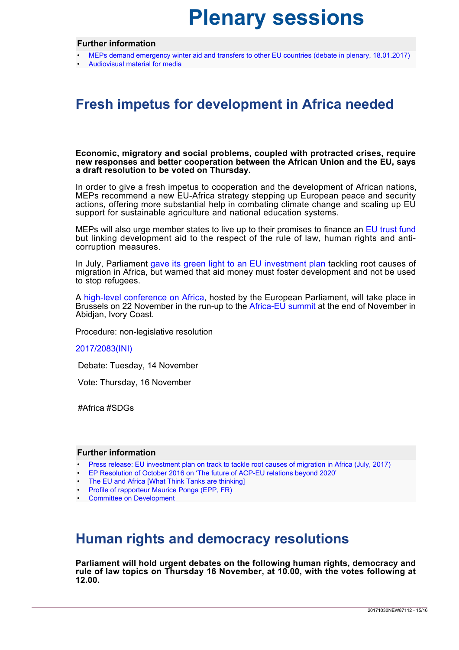#### **Further information**

- [MEPs demand emergency winter aid and transfers to other EU countries \(debate in plenary, 18.01.2017\)](http://www.europarl.europa.eu/news/en/press-room/20170113IPR58030/refugees-meps-demand-emergency-winter-aid-and-transfers-to-other-eu-countries)
- [Audiovisual material for media](http://audiovisual.europarl.europa.eu/migration)

## <span id="page-14-0"></span>**Fresh impetus for development in Africa needed**

**Economic, migratory and social problems, coupled with protracted crises, require new responses and better cooperation between the African Union and the EU, says a draft resolution to be voted on Thursday.**

In order to give a fresh impetus to cooperation and the development of African nations, MEPs recommend a new EU-Africa strategy stepping up European peace and security actions, offering more substantial help in combating climate change and scaling up EU support for sustainable agriculture and national education systems.

MEPs will also urge member states to live up to their promises to finance an [EU trust fund](https://ec.europa.eu/europeaid/regions/africa/eu-emergency-trust-fund-africa_en) but linking development aid to the respect of the rule of law, human rights and anticorruption measures.

In July, Parliament [gave its green light to an EU investment plan](http://www.europarl.europa.eu/news/en/press-room/20170629IPR78662/eu-investment-plan-on-track-to-tackle-root-causes-of-migration) tackling root causes of migration in Africa, but warned that aid money must foster development and not be used to stop refugees.

A [high-level conference on Africa,](http://www.europarl.europa.eu/news/en/headlines/eu-affairs/20171024STO86762/parliament-organises-conference-on-young-people-in-africa) hosted by the European Parliament, will take place in Brussels on 22 November in the run-up to the [Africa-EU summit](http://www.africa-eu-partnership.org/en/about-us/how-it-works/africa-eu-summit) at the end of November in Abidjan, Ivory Coast.

Procedure: non-legislative resolution

#### [2017/2083\(INI\)](http://www.europarl.europa.eu/oeil/popups/ficheprocedure.do?reference=2017/2083%28INI%29&l=en)

Debate: Tuesday, 14 November

Vote: Thursday, 16 November

#Africa #SDGs

#### **Further information**

- [Press release: EU investment plan on track to tackle root causes of migration in Africa \(July, 2017\)](http://www.europarl.europa.eu/news/en/press-room/20170629IPR78662/eu-investment-plan-on-track-to-tackle-root-causes-of-migration)
- [EP Resolution of October 2016 on 'The future of ACP-EU relations beyond 2020'](http://www.europarl.europa.eu/sides/getDoc.do?type=TA&language=EN&reference=P8-TA-2016-0371)
- [The EU and Africa \[What Think Tanks are thinking\]](https://epthinktank.eu/2016/01/08/the-eu-and-africa-what-think-tanks-are-thinking/)
- [Profile of rapporteur Maurice Ponga \(EPP, FR\)](http://www.europarl.europa.eu/meps/en/96931.html)
- [Committee on Development](http://www.europarl.europa.eu/committees/en/deve/home.html)

## <span id="page-14-1"></span>**Human rights and democracy resolutions**

**Parliament will hold urgent debates on the following human rights, democracy and rule of law topics on Thursday 16 November, at 10.00, with the votes following at 12.00.**